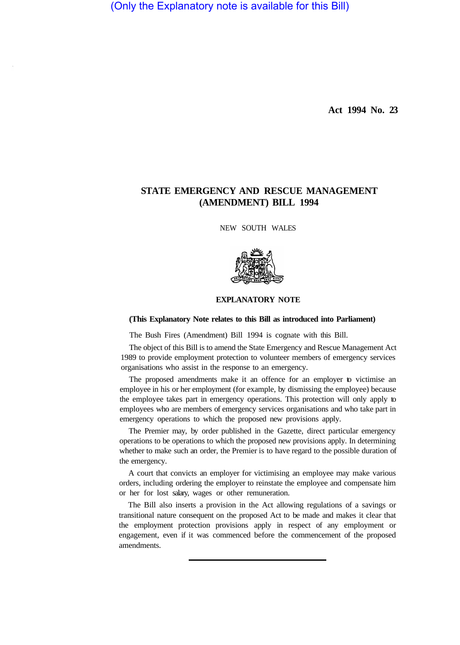(Only the Explanatory note is available for this Bill)

**Act 1994 No. 23** 

## **STATE EMERGENCY AND RESCUE MANAGEMENT (AMENDMENT) BILL 1994**

NEW SOUTH WALES



## **EXPLANATORY NOTE**

## **(This Explanatory Note relates to this Bill as introduced into Parliament)**

The Bush Fires (Amendment) Bill 1994 is cognate with this Bill.

The object of this Bill is to amend the State Emergency and Rescue Management Act 1989 to provide employment protection to volunteer members of emergency services organisations who assist in the response to an emergency.

The proposed amendments make it an offence for an employer to victimise an employee in his or her employment (for example, by dismissing the employee) because the employee takes part in emergency operations. This protection will only apply to employees who are members of emergency services organisations and who take part in emergency operations to which the proposed new provisions apply.

The Premier may, by order published in the Gazette, direct particular emergency operations to be operations to which the proposed new provisions apply. In determining whether to make such an order, the Premier is to have regard to the possible duration of the emergency.

A court that convicts an employer for victimising an employee may make various orders, including ordering the employer to reinstate the employee and compensate him or her for lost salary, wages or other remuneration.

The Bill also inserts a provision in the Act allowing regulations of a savings or transitional nature consequent on the proposed Act to be made and makes it clear that the employment protection provisions apply in respect of any employment or engagement, even if it was commenced before the commencement of the proposed amendments.